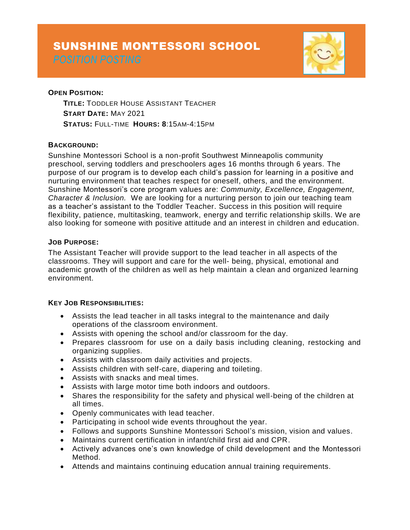# SUNSHINE MONTESSORI SCHOOL



## **OPEN POSITION:**

**TITLE:** TODDLER HOUSE ASSISTANT TEACHER **START DATE:** MAY 2021 **STATUS:** FULL-TIME **HOURS: 8**:15AM-4:15PM

### **BACKGROUND:**

Sunshine Montessori School is a non-profit Southwest Minneapolis community preschool, serving toddlers and preschoolers ages 16 months through 6 years. The purpose of our program is to develop each child's passion for learning in a positive and nurturing environment that teaches respect for oneself, others, and the environment. Sunshine Montessori's core program values are: *Community, Excellence, Engagement, Character & Inclusion.* We are looking for a nurturing person to join our teaching team as a teacher's assistant to the Toddler Teacher. Success in this position will require flexibility, patience, multitasking, teamwork, energy and terrific relationship skills. We are also looking for someone with positive attitude and an interest in children and education.

### **JOB PURPOSE:**

The Assistant Teacher will provide support to the lead teacher in all aspects of the classrooms. They will support and care for the well- being, physical, emotional and academic growth of the children as well as help maintain a clean and organized learning environment.

### **KEY JOB RESPONSIBILITIES:**

- Assists the lead teacher in all tasks integral to the maintenance and daily operations of the classroom environment.
- Assists with opening the school and/or classroom for the day.
- Prepares classroom for use on a daily basis including cleaning, restocking and organizing supplies.
- Assists with classroom daily activities and projects.
- Assists children with self-care, diapering and toileting.
- Assists with snacks and meal times.
- Assists with large motor time both indoors and outdoors.
- Shares the responsibility for the safety and physical well-being of the children at all times.
- Openly communicates with lead teacher.
- Participating in school wide events throughout the year.
- Follows and supports Sunshine Montessori School's mission, vision and values.
- Maintains current certification in infant/child first aid and CPR.
- Actively advances one's own knowledge of child development and the Montessori Method.
- Attends and maintains continuing education annual training requirements.